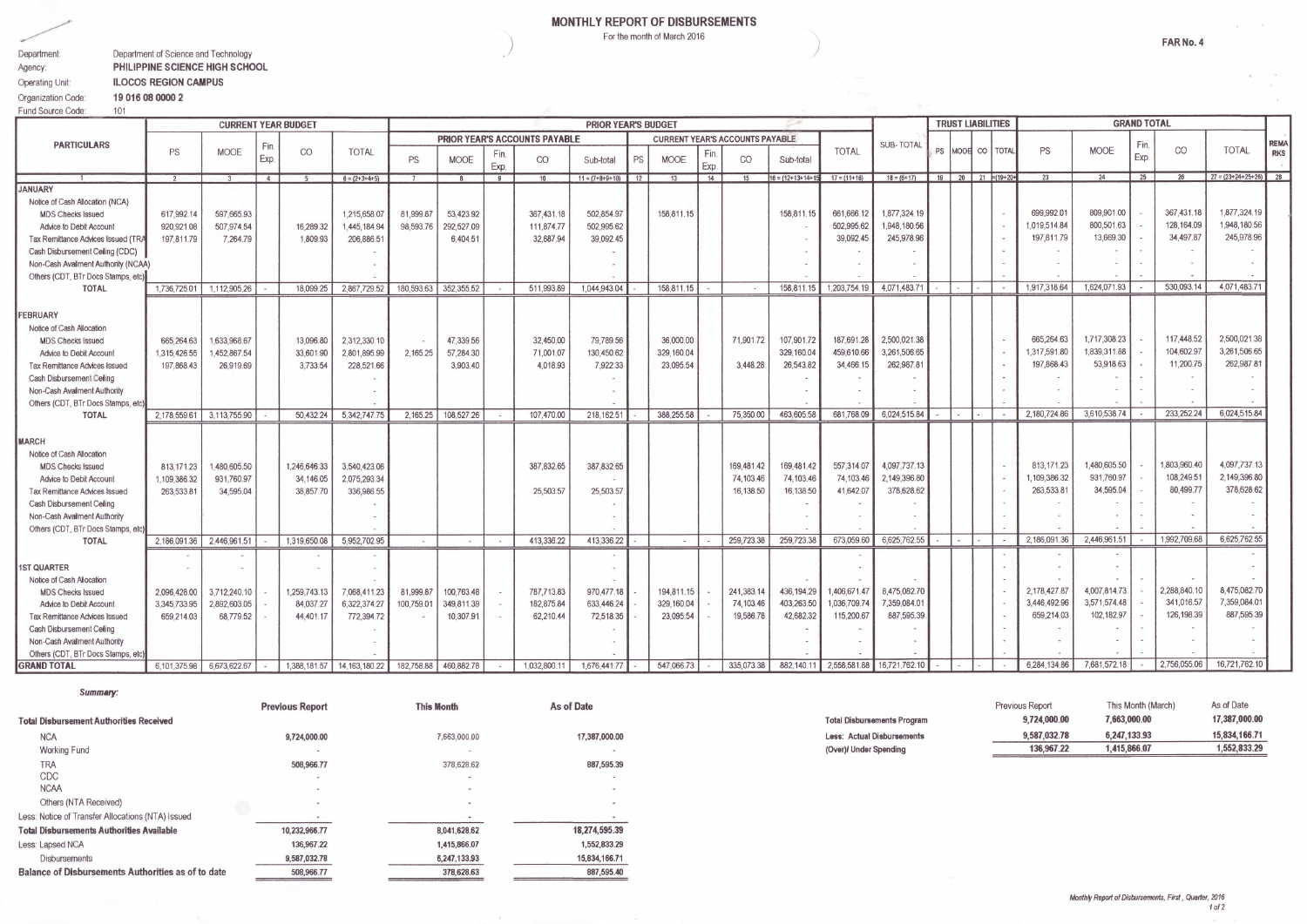## MONTHLY REPORT OF DISBURSEMENTS

For the month of March 2016

| Department:        | Department of Science and Technology |
|--------------------|--------------------------------------|
| Agency:            | PHILIPPINE SCIENCE HIGH SCHOOL       |
| Operating Unit:    | <b>ILOCOS REGION CAMPUS</b>          |
| Organization Code: | 19 016 08 0000 2                     |

Summary:

|                                          |              |              |    | <b>CURRENT YEAR BUDGET</b>    |                            |            |            |    |                                        | <b>PRIOR YEAR'S BUDGET</b> |    |            |              |                  |                          |                    |                 |        | <b>TRUST LIABILITIES</b>        |             |                          |              |              | <b>GRAND TOTAL</b> |              |                         |  |
|------------------------------------------|--------------|--------------|----|-------------------------------|----------------------------|------------|------------|----|----------------------------------------|----------------------------|----|------------|--------------|------------------|--------------------------|--------------------|-----------------|--------|---------------------------------|-------------|--------------------------|--------------|--------------|--------------------|--------------|-------------------------|--|
| <b>PARTICULARS</b>                       |              |              |    | PRIOR YEAR'S ACCOUNTS PAYABLE |                            |            |            |    | <b>CURRENT YEAR'S ACCOUNTS PAYABLE</b> |                            |    |            |              | <b>SUB-TOTAL</b> |                          |                    |                 |        | Fin.                            |             |                          |              | <b>REMA</b>  |                    |              |                         |  |
| Fin.<br><b>MOOE</b><br><b>PS</b><br>Exp. | CO           | <b>TOTAL</b> | PS | <b>MOOE</b>                   | Fin.<br>Exp.               | CO         | Sub-total  | PS | <b>MOOE</b>                            | Exp.                       | CO | Sub-total  | <b>TOTAL</b> |                  |                          | PS MOOR CO   TOTAL |                 |        | <b>PS</b>                       | <b>MOOE</b> | Exp.                     | CO           | <b>TOTAL</b> | <b>RKS</b>         |              |                         |  |
|                                          |              |              | 4  |                               | $6 = (2+3+4+5)$            |            |            | 9  | 10                                     | $11 = (7+8+9+10)$ 12       |    | 13         | 14           | 15               | $16 = (12+13+14+1)$      | $17 = (11 + 16)$   | $18 = (6 + 17)$ |        | $19$   20   21 $\equiv$ (19+20+ |             |                          | 23           | 24           | 25                 | 26           | $27 = (23+24+25+26)$ 28 |  |
| <b>JANUARY</b>                           |              |              |    |                               |                            |            |            |    |                                        |                            |    |            |              |                  |                          |                    |                 |        |                                 |             |                          |              |              |                    |              |                         |  |
| Notice of Cash Allocation (NCA)          |              |              |    |                               |                            |            |            |    |                                        |                            |    |            |              |                  |                          |                    |                 |        |                                 |             |                          |              |              |                    |              |                         |  |
| <b>MDS Checks Issued</b>                 | 617,992.14   | 597,665.93   |    |                               | 1.215.658.07               | 81,999.8   | 53,423.92  |    | 367,431.18                             | 502,854.97                 |    | 158.811.15 |              |                  | 158,811.15               | 661.666.12         | 1,877,324.19    |        |                                 |             |                          | 699,992.01   | 809.901.00   |                    | 367.431.18   | 1,877,324.19            |  |
| Advice to Debit Account                  | 920,921.08   | 507.974.54   |    | 16,289.32                     | 1,445,184.94               | 98,593.76  | 292,527.09 |    | 111,874.77                             | 502,995.62                 |    |            |              |                  | $\overline{\phantom{a}}$ | 502.995.62         | 1.948.180.56    |        |                                 |             |                          | 1.019.514.84 | 800.501.63   |                    | 128, 164.09  | 1,948,180.56            |  |
| Tax Remittance Advices Issued (TRA       | 197.811.79   | 7.264.79     |    | 1.809.93                      | 206,886.51                 |            | 6,404.51   |    | 32.687.94                              | 39,092.45                  |    |            |              |                  |                          | 39,092.45          | 245,978.96      |        |                                 |             |                          | 197,811.79   | 13,669.30    |                    | 34,497.87    | 245,978.96              |  |
| Cash Disbursement Celling (CDC)          |              |              |    |                               |                            |            |            |    |                                        |                            |    |            |              |                  |                          |                    |                 |        |                                 |             |                          |              |              |                    |              |                         |  |
| Non-Cash Availment Authority (NCAA)      |              |              |    |                               |                            |            |            |    |                                        |                            |    |            |              |                  |                          |                    |                 |        |                                 |             |                          |              |              |                    |              |                         |  |
| Others (CDT, BTr Docs Stamps, etc)       |              |              |    |                               |                            |            |            |    |                                        |                            |    |            |              |                  |                          |                    |                 |        |                                 |             |                          |              |              |                    |              |                         |  |
| <b>TOTAL</b>                             | 1,736,725.01 | 1.112.905.26 |    | 18.099.25                     | 2.867,729.52               | 180,593.63 | 352,355.52 |    | 511.993.89                             | 1.044.943.04               |    | 158,811.15 |              | $\sim$           | 158,811.15               | 1,203,754.19       | 4,071,483.71    |        |                                 |             |                          | 1,917,318.64 | 1,624,071.93 |                    | 530,093.14   | 4,071,483.7             |  |
|                                          |              |              |    |                               |                            |            |            |    |                                        |                            |    |            |              |                  |                          |                    |                 |        |                                 |             |                          |              |              |                    |              |                         |  |
| FEBRUARY                                 |              |              |    |                               |                            |            |            |    |                                        |                            |    |            |              |                  |                          |                    |                 |        |                                 |             |                          |              |              |                    |              |                         |  |
| Notice of Cash Allocation                |              |              |    |                               |                            |            |            |    |                                        |                            |    |            |              |                  |                          |                    |                 |        |                                 |             |                          |              |              |                    |              |                         |  |
| <b>MDS Checks Issued</b>                 | 665.264.63   | 1.633.968.67 |    | 13,096.80                     | 2.312.330.10               |            | 47,339.56  |    | 32,450.00                              | 79,789.56                  |    | 36,000.00  |              | 71,901.72        | 107,901.72               | 187,691.28         | 2,500,021.38    |        |                                 |             |                          | 665,264.63   | 1,717,308.23 |                    | 117.448.52   | 2,500,021.38            |  |
| Advice to Debit Account                  | 1,315,426.55 | 1,452,867.54 |    | 33,601.90                     | 2,801,895.99               | 2.165.25   | 57,284.30  |    | 71,001.07                              | 130,450.62                 |    | 329,160.04 |              |                  | 329,160.04               | 459,610.66         | 3,261,506.65    |        |                                 |             |                          | 1,317,591.80 | 1,839,311.88 |                    | 104,602.97   | 3,261,506.65            |  |
| <b>Tax Remittance Advices Issued</b>     | 197.868.43   | 26,919.69    |    | 3,733.54                      | 228,521.66                 |            | 3,903.40   |    | 4.018.93                               | 7,922.33                   |    | 23,095.54  |              | 3.448.28         | 26,543.82                | 34.466.15          | 262,987.81      |        |                                 |             |                          | 197.868.43   | 53,918.63    |                    | 11,200.75    | 262,987.81              |  |
| Cash Disbursement Celling                |              |              |    |                               |                            |            |            |    |                                        |                            |    |            |              |                  |                          |                    |                 |        |                                 |             |                          |              |              |                    |              |                         |  |
| Non-Cash Availment Authority             |              |              |    |                               |                            |            |            |    |                                        |                            |    |            |              |                  |                          |                    |                 |        |                                 |             |                          |              |              |                    |              |                         |  |
| Others (CDT, BTr Docs Stamps, etc)       |              |              |    |                               |                            |            |            |    |                                        |                            |    |            |              |                  |                          |                    |                 |        |                                 |             |                          |              |              |                    |              |                         |  |
| <b>TOTAL</b>                             | 2,178,559.61 | 3,113,755.90 |    | 50.432.24                     | 5.342.747.75               | 2.165.25   | 108,527.26 |    | 107.470.00                             | 218, 162.51                |    | 388,255.58 |              | 75.350.00        | 463,605.58               | 681,768.09         | 6.024.515.84    |        |                                 |             | $\overline{\phantom{a}}$ | 2,180,724.86 | 3,610,538.74 |                    | 233,252.24   | 6,024,515.84            |  |
| <b>MARCH</b>                             |              |              |    |                               |                            |            |            |    |                                        |                            |    |            |              |                  |                          |                    |                 |        |                                 |             |                          |              |              |                    |              |                         |  |
| Notice of Cash Allocation                |              |              |    |                               |                            |            |            |    |                                        |                            |    |            |              |                  |                          |                    |                 |        |                                 |             |                          |              |              |                    |              |                         |  |
| <b>MDS Checks Issued</b>                 | 813.171.23   | 1,480,605.50 |    | 1,246,646.33                  | 3,540,423.06               |            |            |    | 387,832.65                             | 387,832.65                 |    |            |              | 169,481.42       | 169,481.42               | 557,314.07         | 4,097,737.13    |        |                                 |             |                          | 813,171.23   | 1,480,605.50 |                    | 1,803,960.40 | 4,097,737.13            |  |
| Advice to Debit Account                  | 1,109,386.32 | 931.760.97   |    | 34,146.05                     | 2,075,293.34               |            |            |    |                                        |                            |    |            |              | 74,103.46        | 74,103.46                | 74,103.46          | 2.149,396.80    |        |                                 |             |                          | .109.386.32  | 931,760.97   |                    | 108,249.51   | 2,149,396.80            |  |
| Tax Remittance Advices Issued            | 263,533.81   | 34.595.04    |    | 38,857.70                     | 336,986.55                 |            |            |    | 25,503.57                              | 25,503.57                  |    |            |              | 16.138.50        | 16,138.50                | 41.642.07          | 378,628,62      |        |                                 |             |                          | 263.533.81   | 34,595.04    |                    | 80,499.77    | 378,628.62              |  |
| Cash Disbursement Celling                |              |              |    |                               |                            |            |            |    |                                        |                            |    |            |              |                  |                          |                    |                 |        |                                 |             |                          |              |              |                    |              |                         |  |
| Non-Cash Availment Authority             |              |              |    |                               |                            |            |            |    |                                        |                            |    |            |              |                  |                          |                    |                 |        |                                 |             |                          |              |              |                    |              |                         |  |
| Others (CDT, BTr Docs Stamps, etc)       |              |              |    |                               |                            |            |            |    |                                        |                            |    |            |              |                  |                          |                    |                 |        |                                 |             |                          |              |              |                    |              |                         |  |
| <b>TOTAL</b>                             | 2,186,091.36 | 2,446,961.51 |    | 1,319,650.08                  | 5,952,702.95               | $\sim$     | $\sim$     |    | 413.336.22                             | 413,336.22                 |    | $\sim$     |              | 259,723.38       | 259.723.38               | 673,059.60         | 6.625.762.55    |        | $\sim$                          |             |                          | 2,186,091.36 | 2.446.961.51 |                    | 1,992,709.68 | 6,625,762.55            |  |
|                                          |              |              |    |                               |                            |            |            |    |                                        |                            |    |            |              |                  |                          |                    |                 |        |                                 |             |                          |              |              |                    |              |                         |  |
| <b>1ST QUARTER</b>                       |              |              |    |                               |                            |            |            |    |                                        |                            |    |            |              |                  |                          |                    |                 |        |                                 |             |                          |              |              |                    |              |                         |  |
| Notice of Cash Allocation                |              |              |    |                               |                            |            |            |    |                                        |                            |    |            |              |                  |                          |                    |                 |        |                                 |             |                          |              |              |                    |              |                         |  |
| <b>MDS Checks Issued</b>                 | 2,096,428.00 | 3,712,240.10 |    | 1,259,743.13                  | 7,068,411.23               | 81,999.87  | 100,763.48 |    | 787,713.83                             | 970,477.18                 |    | 194.811.15 |              | 241,383.14       | 436, 194.29              | 1,406,671.47       | 8,475,082.70    |        |                                 |             |                          | 2,178,427.87 | 4,007,814.73 |                    | 2.288,840.10 | 8,475,082.70            |  |
| Advice to Debit Account                  | 3.345.733.95 | 2.892.603.05 |    | 84,037.27                     | 6,322,374.27               | 100.759.01 | 349,811.39 |    | 182.875.84                             | 633,446.24                 |    | 329,160.04 |              | 74,103.46        | 403,263.50               | 1,036,709.74       | 7,359,084.0     |        |                                 |             |                          | 3,446,492.96 | 3,571,574.48 |                    | 341,016.57   | 7,359,084.01            |  |
| <b>Tax Remittance Advices Issued</b>     | 659.214.03   | 68,779.52    |    | 44,401.17                     | 772,394.72                 |            | 10,307.91  |    | 62,210.44                              | 72,518.35                  |    | 23.095.54  |              | 19,586.78        | 42.682.32                | 115,200.67         | 887,595.39      |        |                                 |             |                          | 659,214.03   | 102,182.97   |                    | 126, 198.39  | 887,595.39              |  |
| Cash Disbursement Celling                |              |              |    |                               |                            |            |            |    |                                        |                            |    |            |              |                  |                          |                    |                 |        |                                 |             |                          |              |              |                    |              |                         |  |
| Non-Cash Availment Authority             |              |              |    |                               |                            |            |            |    |                                        |                            |    |            |              |                  |                          |                    |                 |        |                                 |             |                          |              |              |                    |              |                         |  |
| Others (CDT, BTr Docs Stamps, etc)       |              |              |    |                               |                            |            |            |    |                                        |                            |    |            |              |                  |                          |                    |                 |        |                                 |             |                          |              |              |                    |              |                         |  |
| <b>GRAND TOTAL</b>                       | 6.101.375.98 | 6.673.622.67 |    |                               | 1.388.181.57 14.163.180.22 | 182,758.88 | 460,882.78 |    | 1.032.800.11                           | 1,676,441.77               |    | 547,066.73 |              | 335,073.38       | 882,140.11               | 2,558,581.88       | 16,721,762.10   | $\sim$ |                                 |             |                          | 6,284,134.86 | 7,681,572.18 |                    | 2,756,055.06 | 16,721,762.10           |  |

|                                                    | <b>Previous Report</b> | <b>This Month</b> | As of Date    |
|----------------------------------------------------|------------------------|-------------------|---------------|
| <b>Total Disbursement Authorities Received</b>     |                        |                   |               |
| <b>NCA</b>                                         | 9,724,000.00           | 7,663,000.00      | 17,387,000.00 |
| <b>Working Fund</b>                                |                        |                   |               |
| TRA                                                | 508,966.77             | 378,628.62        | 887,595.39    |
| CDC                                                |                        |                   |               |
| <b>NCAA</b>                                        |                        |                   |               |
| Others (NTA Received)                              |                        |                   |               |
| Less: Notice of Transfer Allocations (NTA) Issued  |                        |                   |               |
| <b>Total Disbursements Authorities Available</b>   | 10,232,966.77          | 8,041,628.62      | 18,274,595.39 |
| Less: Lapsed NCA                                   | 136,967.22             | 1.415.866.07      | 1,552,833.29  |
| <b>Disbursements</b>                               | 9,587,032.78           | 6.247.133.93      | 15,834,166.71 |
| Balance of Disbursements Authorities as of to date | 508.966.77             | 378,628,63        | 887,595.40    |

| (Over) Under Spending              | 136,967.22      | 1,415,866.07       | 1.552.833.29  |
|------------------------------------|-----------------|--------------------|---------------|
| <b>Less: Actual Disbursements</b>  | 9.587.032.78    | 6.247.133.93       | 15,834,166.71 |
| <b>Total Disbursements Program</b> | 9,724,000.00    | 7,663,000.00       | 17.387.000.00 |
|                                    | Previous Report | This Month (March) | As of Date    |